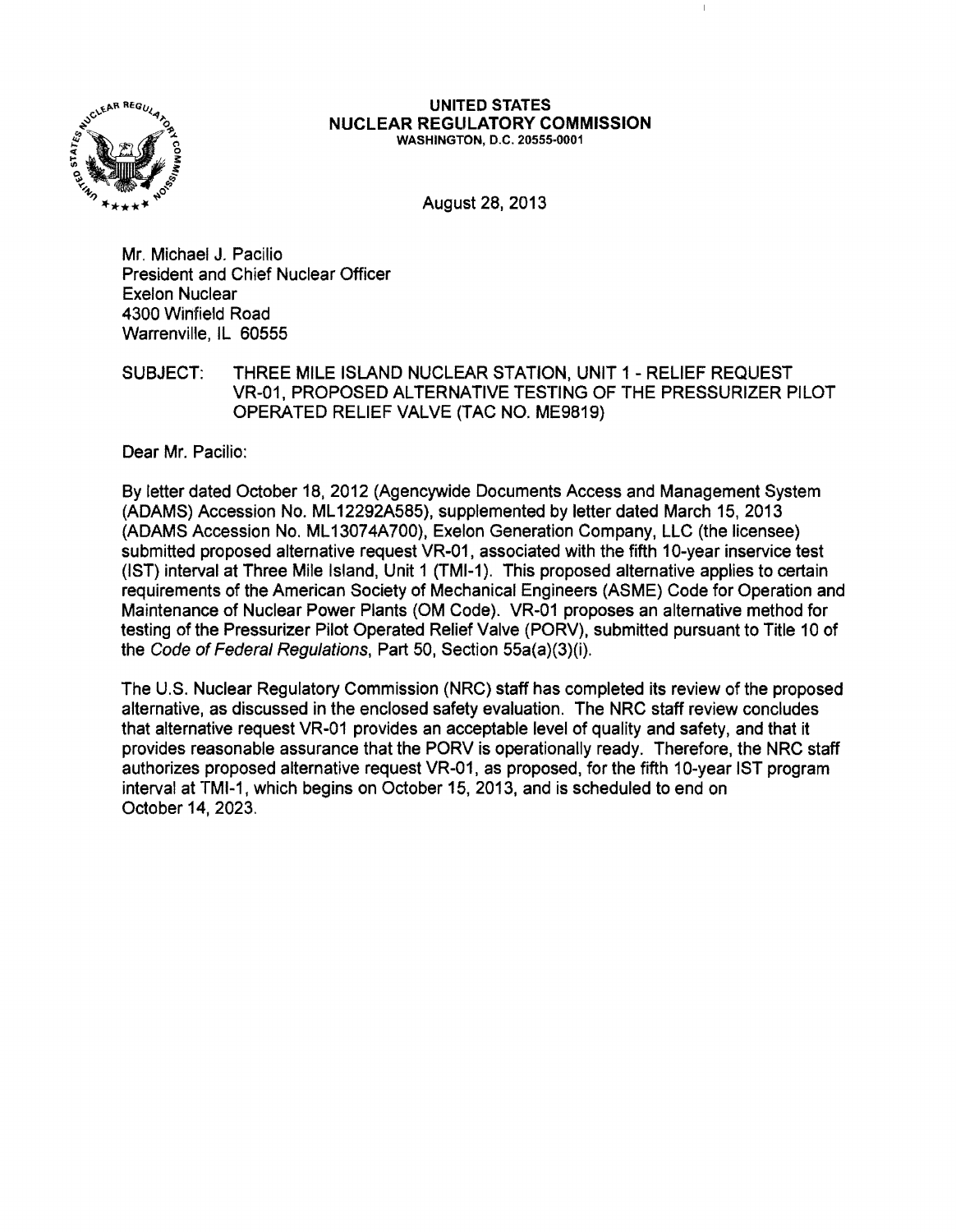

#### UNITED STATES NUCLEAR REGULATORY COMMISSION WASHINGTON, D.C. 20555-0001

August28,2013

Mr. Michael J. Pacilio President and Chief Nuclear Officer Exelon Nuclear 4300 Winfield Road Warrenville, IL 60555

SUBJECT: THREE MILE ISLAND NUCLEAR STATION, UNIT 1 - RELIEF REQUEST VR-01, PROPOSED ALTERNATIVE TESTING OF THE PRESSURIZER PILOT OPERATED RELIEF VALVE (TAC NO. ME9819)

Dear Mr. Pacilio:

By letter dated October 18,2012 (Agencywide Documents Access and Management System (ADAMS) Accession No. ML 12292A585), supplemented by letter dated March 15, 2013 (ADAMS Accession No. ML 13074A700), Exelon Generation Company, LLC (the licensee) submitted proposed alternative request VR-01, associated with the fifth 10-year inservice test (1ST) interval at Three Mile Island, Unit 1 (TMI-1). This proposed alternative applies to certain requirements of the American Society of Mechanical Engineers (ASME) Code for Operation and Maintenance of Nuclear Power Plants (OM Code). VR-01 proposes an alternative method for testing of the Pressurizer Pilot Operated Relief Valve (PORV), submitted pursuant to Title 10 of the Code of Federal Regulations, Part 50, Section 55a(a)(3)(i).

The U.S. Nuclear Regulatory Commission (NRC) staff has completed its review of the proposed alternative, as discussed in the enclosed safety evaluation. The NRC staff review concludes that alternative request VR-01 provides an acceptable level of quality and safety, and that it provides reasonable assurance that the PORV is operationally ready. Therefore, the NRC staff authorizes proposed alternative request VR-01, as proposed, for the fifth 10-year 1ST program interval at TMI-1, which begins on October 15,2013, and is scheduled to end on October 14, 2023.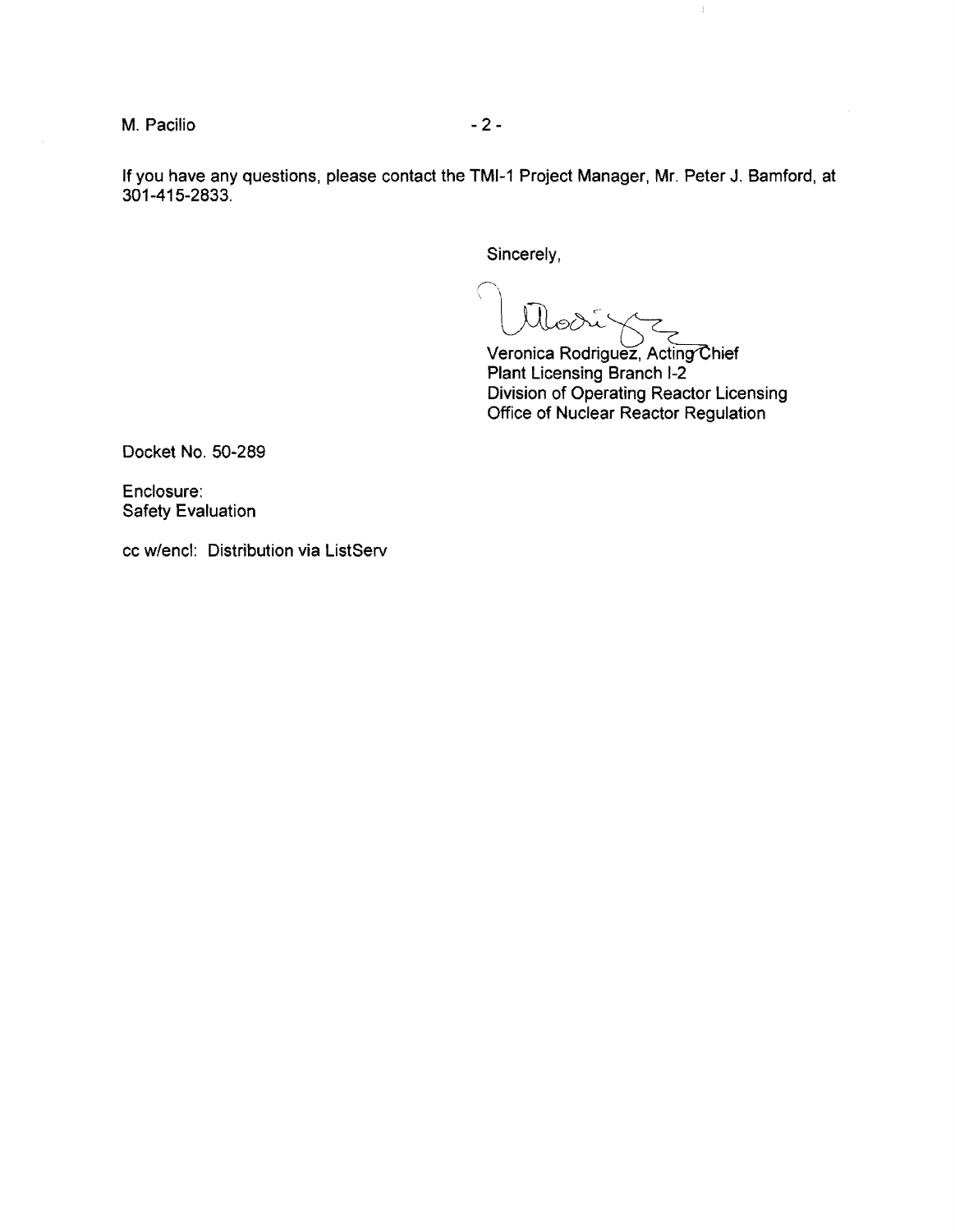M. Pacilio  $-2-$ 

If you have any questions, please contact the TMI-1 Project Manager, Mr. Peter J. Bamford, at 301-415-2833.

Sincerely,

Veronica Rodriguez, Acting Chief Plant Licensing Branch 1-2 Division of Operating Reactor Licensing Office of Nuclear Reactor Regulation

 $\pm$ 

Docket No. 50-289

Enclosure: Safety Evaluation

cc w/encl: Distribution via ListServ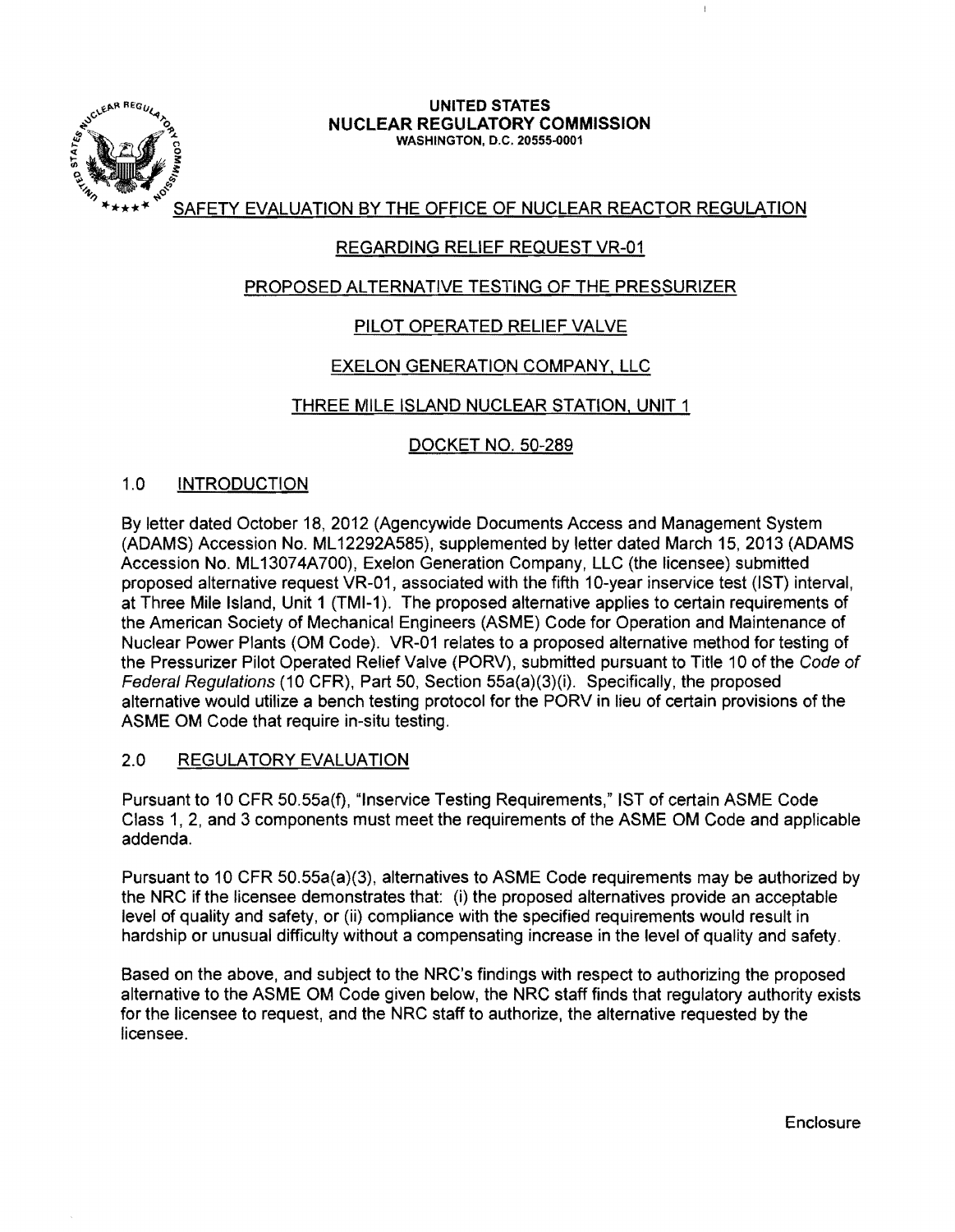

# UNITED STATES NUCLEAR REGULATORY COMMISSION :<br>washington, D.C. 20555-0001

SAFETY EVALUATION BY THE OFFICE OF NUCLEAR REACTOR REGULATION

# REGARDING RELIEF REQUEST VR-01

# PROPOSED ALTERNATIVE TESTING OF THE PRESSURIZER

# PILOT OPERATED RELIEF VALVE

## EXELON GENERATION COMPANY, LLC

#### THREE MILE ISLAND NUCLEAR STATION, UNIT 1

## DOCKET NO. 50-289

#### 1.0 INTRODUCTION

By letter dated October 18, 2012 (Agencywide Documents Access and Management System (ADAMS) Accession No. ML 12292A585), supplemented by letter dated March 15, 2013 (ADAMS Accession No. ML13074A700), Exelon Generation Company, LLC (the licensee) submitted proposed alternative request VR-01, associated with the fifth 10-year inservice test (IST) interval, at Three Mile Island, Unit 1 (TMI-1). The proposed alternative applies to certain requirements of the American Society of Mechanical Engineers (ASME) Code for Operation and Maintenance of Nuclear Power Plants (OM Code). VR-01 relates to a proposed alternative method for testing of the Pressurizer Pilot Operated Relief Valve (PORV), submitted pursuant to Title 10 of the Code of Federal Regulations (10 CFR). Part 50, Section 55a(a)(3)(i). Specifically, the proposed alternative would utilize a bench testing protocol for the PORV in lieu of certain provisions of the ASME OM Code that require in-situ testing.

#### 2.0 REGULATORY EVALUATION

Pursuant to 10 CFR 50.55a(f), "Inservice Testing Requirements," 1ST of certain ASME Code Class 1, 2, and 3 components must meet the requirements of the ASME OM Code and applicable addenda.

Pursuant to 10 CFR 50.55a(a)(3), alternatives to ASME Code reqUirements may be authorized by the NRC if the licensee demonstrates that: (i) the proposed alternatives provide an acceptable level of quality and safety, or (ii) compliance with the specified requirements would result in hardship or unusual difficulty without a compensating increase in the level of quality and safety.

Based on the above, and subject to the NRC's findings with respect to authorizing the proposed alternative to the ASME OM Code given below, the NRC staff finds that regulatory authority exists for the licensee to request, and the NRC staff to authorize, the alternative requested by the licensee.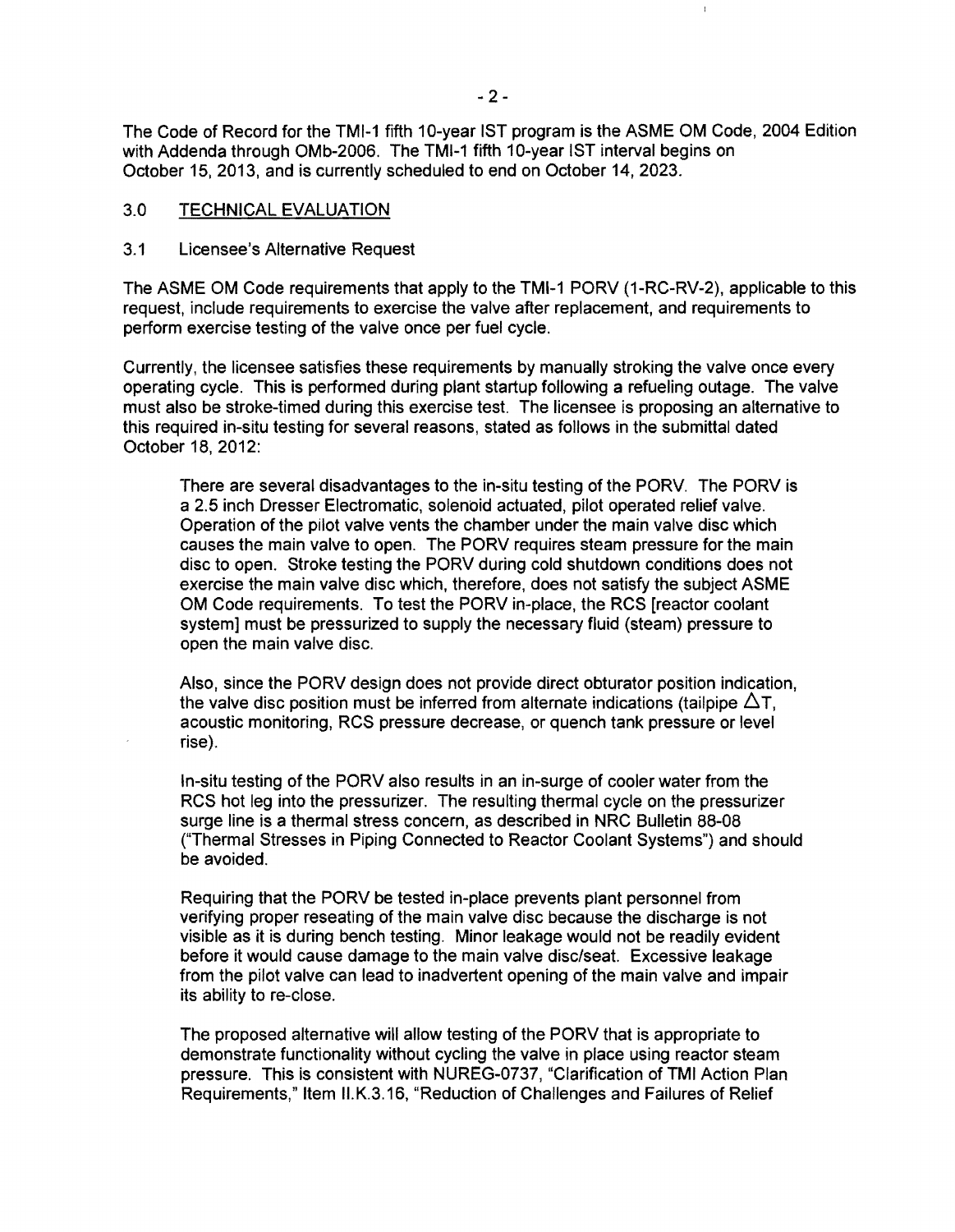The Code of Record for the TMI-1 fifth 10-year 1ST program is the ASME OM Code, 2004 Edition with Addenda through OMb-2006. The TMI-1 fifth 10-year 1ST interval begins on October 15. 2013. and is currently scheduled to end on October 14. 2023.

#### 3.0 TECHNICAL EVALUATION

#### 3.1 Licensee's Alternative Request

The ASME OM Code requirements that apply to the TMI-1 PORV (1-RC-RV-2), applicable to this request, include requirements to exercise the valve after replacement, and requirements to perform exercise testing of the valve once per fuel cycle.

Currently, the licensee satisfies these requirements by manually stroking the valve once every operating cycle. This is performed during plant startup following a refueling outage. The valve must also be stroke-timed during this exercise test. The licensee is proposing an alternative to this required in-situ testing for several reasons, stated as follows in the submittal dated October 18, 2012:

There are several disadvantages to the in-situ testing of the PORV. The PORV is a 2.5 inch Dresser Electromatic, solenoid actuated, pilot operated relief valve. Operation of the pilot valve vents the chamber under the main valve disc which causes the main valve to open. The PORV requires steam pressure for the main disc to open. Stroke testing the PORV during cold shutdown conditions does not exercise the main valve disc which, therefore, does not satisfy the subject ASME OM Code requirements. To test the PORV in-place, the RCS [reactor coolant system] must be pressurized to supply the necessary fluid (steam) pressure to open the main valve disc.

Also, since the PORV design does not provide direct obturator position indication, the valve disc position must be inferred from alternate indications (tailpipe  $\Delta T$ , acoustic monitoring, RCS pressure decrease, or quench tank pressure or level rise).

In-situ testing of the PORV also results in an in-surge of cooler water from the RCS hot leg into the pressurizer. The resulting thermal cycle on the pressurizer surge line is a thermal stress concern. as described in NRC Bulletin 88-08 ("Thermal Stresses in Piping Connected to Reactor Coolant Systems") and should be avoided.

Requiring that the PORV be tested in-place prevents plant personnel from verifying proper reseating of the main valve disc because the discharge is not visible as it is during bench testing. Minor leakage would not be readily evident before it would cause damage to the main valve disc/seat. Excessive leakage from the pilot valve can lead to inadvertent opening of the main valve and impair its ability to re-close.

The proposed alternative will allow testing of the PORV that is appropriate to demonstrate functionality without cycling the valve in place using reactor steam pressure. This is consistent with NUREG-0737, "Clarification of TMI Action Plan Requirements," Item II,K.3.16, "Reduction of Challenges and Failures of Relief

 $\mathfrak{g}$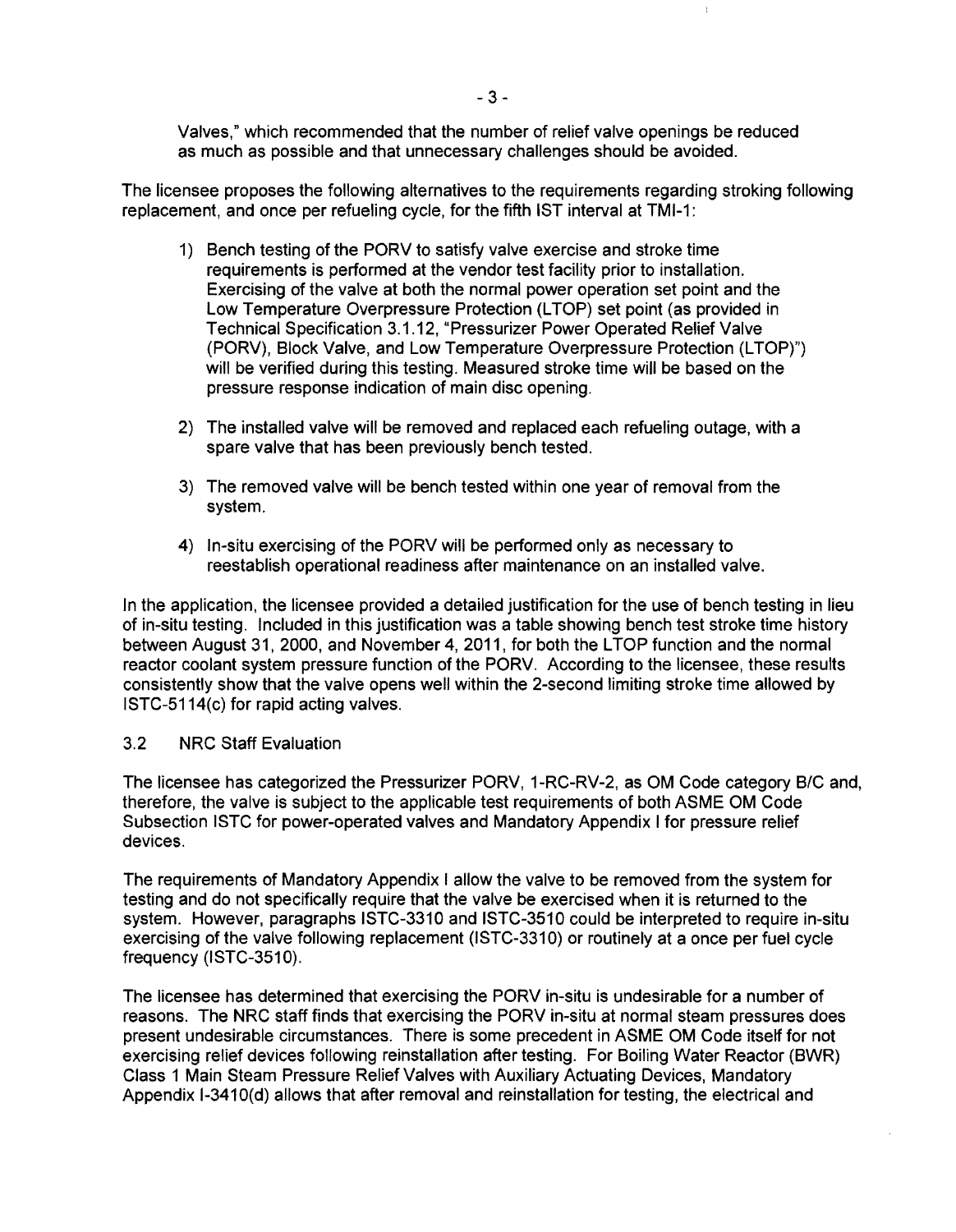Valves," which recommended that the number of relief valve openings be reduced as much as possible and that unnecessary challenges should be avoided.

The licensee proposes the following alternatives to the requirements regarding stroking following replacement, and once per refueling cycle, for the fifth 1ST interval at TMI-1:

- 1) Bench testing of the PORV to satisfy valve exercise and stroke time requirements is performed at the vendor test facility prior to installation. Exercising of the valve at both the normal power operation set point and the Low Temperature Overpressure Protection (LTOP) set point (as provided in Technical Specification 3.1.12, "Pressurizer Power Operated Relief Valve (PORV), Block Valve, and Low Temperature Overpressure Protection (LTOP)") will be verified during this testing. Measured stroke time will be based on the pressure response indication of main disc opening.
- 2) The installed valve will be removed and replaced each refueling outage, with a spare valve that has been previously bench tested.
- 3) The removed valve will be bench tested within one year of removal from the system.
- 4) In-situ exercising of the PORV will be performed only as necessary to reestablish operational readiness after maintenance on an installed valve.

In the application, the licensee provided a detailed justification for the use of bench testing in lieu of in-situ testing. Included in this justification was a table showing bench test stroke time history between August 31, 2000, and November 4, 2011, for both the LTOP function and the normal reactor coolant system pressure function of the PORV. According to the licensee, these results consistently show that the valve opens well within the 2-second limiting stroke time allowed by ISTC-5114(c) for rapid acting valves.

#### 3.2 NRC Staff Evaluation

The licensee has categorized the Pressurizer PORV, 1-RC-RV-2, as OM Code category BIC and, therefore, the valve is subject to the applicable test requirements of both ASME OM Code Subsection ISTC for power-operated valves and Mandatory Appendix I for pressure relief devices.

The requirements of Mandatory Appendix I allow the valve to be removed from the system for testing and do not specifically require that the valve be exercised when it is returned to the system. However, paragraphs ISTC-3310 and ISTC-3510 could be interpreted to require in-situ exercising of the valve following replacement (lSTC-3310) or routinely at a once perfuel cycle frequency (ISTC-3510).

The licensee has determined that exercising the PORV in-situ is undesirable for a number of reasons. The NRC staff finds that exercising the PORV in-situ at normal steam pressures does present undesirable circumstances. There is some precedent in ASME OM Code itself for not exercising relief devices following reinstallation after testing. For Boiling Water Reactor (BWR) Class 1 Main Steam Pressure Relief Valves with Auxiliary Actuating Devices, Mandatory Appendix 1-3410(d) allows that after removal and reinstallation for testing, the electrical and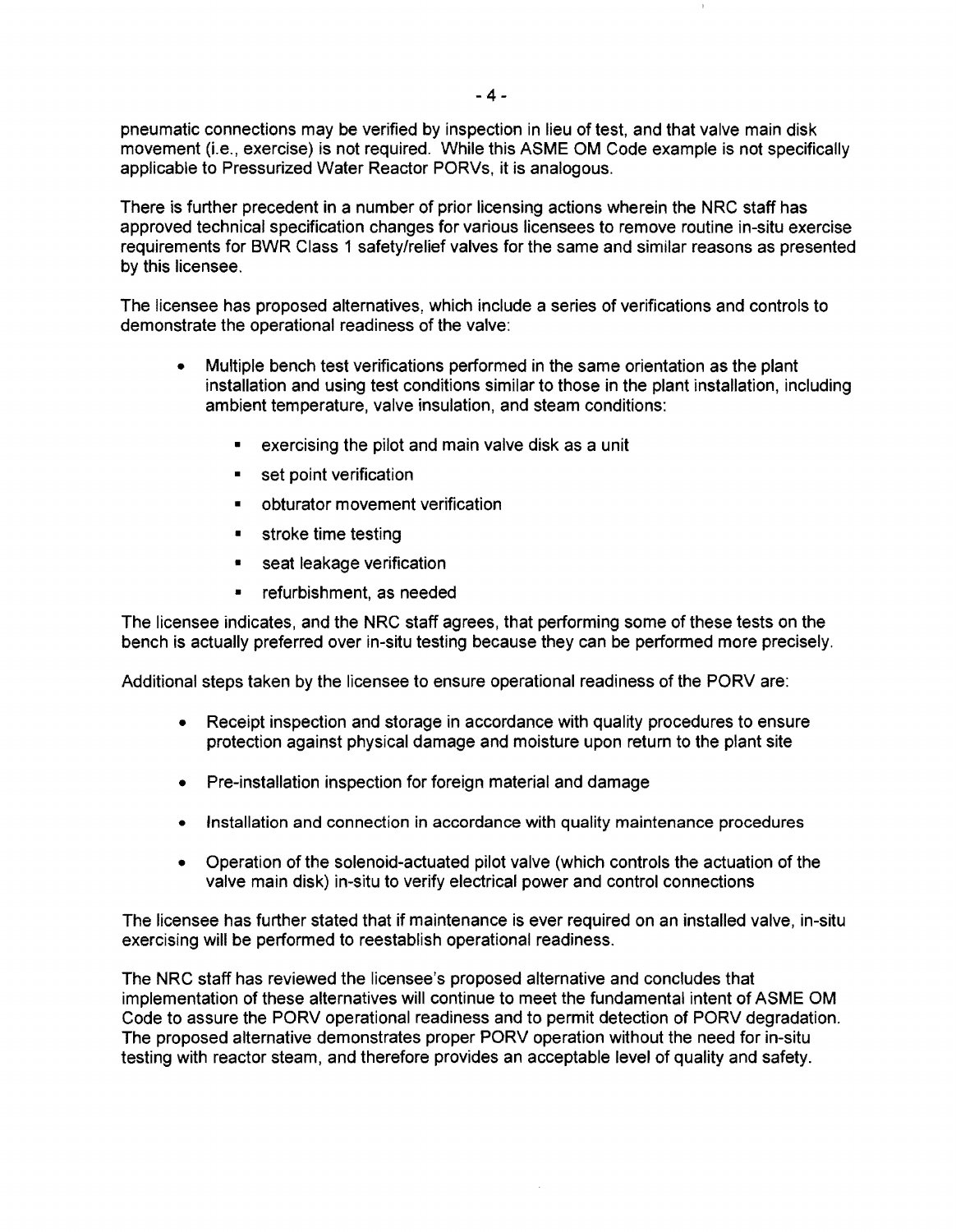pneumatic connections may be verified by inspection in lieu of test, and that valve main disk movement (i.e., exercise) is not required. While this ASME OM Code example is not specifically applicable to Pressurized Water Reactor PORVs, it is analogous.

There is further precedent in a number of prior licensing actions wherein the NRC staff has approved technical specification changes for various licensees to remove routine in-situ exercise requirements for BWR Class 1 safety/relief valves for the same and similar reasons as presented by this licensee.

The licensee has proposed alternatives, which include a series of verifications and controls to demonstrate the operational readiness of the valve:

- Multiple bench test verifications performed in the same orientation as the plant installation and using test conditions similar to those in the plant installation, including ambient temperature, valve insulation, and steam conditions:
	- exercising the pilot and main valve disk as a unit
	- set point verification
	- obturator movement verification
	- stroke time testing
	- **•** seat leakage verification
	- refurbishment, as needed

The licensee indicates, and the NRC staff agrees, that performing some of these tests on the bench is actually preferred over in-situ testing because they can be performed more precisely.

Additional steps taken by the licensee to ensure operational readiness of the PORV are:

- Receipt inspection and storage in accordance with quality procedures to ensure protection against physical damage and moisture upon return to the plant site
- Pre-installation inspection for foreign material and damage
- Installation and connection in accordance with quality maintenance procedures
- Operation of the solenoid-actuated pilot valve (which controls the actuation of the valve main disk) in-situ to verify electrical power and control connections

The licensee has further stated that if maintenance is ever required on an installed valve, in-situ exercising will be performed to reestablish operational readiness.

The NRC staff has reviewed the licensee's proposed alternative and concludes that implementation of these alternatives will continue to meet the fundamental intent of ASME OM Code to assure the PORV operational readiness and to permit detection of PORV degradation. The proposed alternative demonstrates proper PORV operation without the need for in-situ testing with reactor steam, and therefore provides an acceptable level of quality and safety.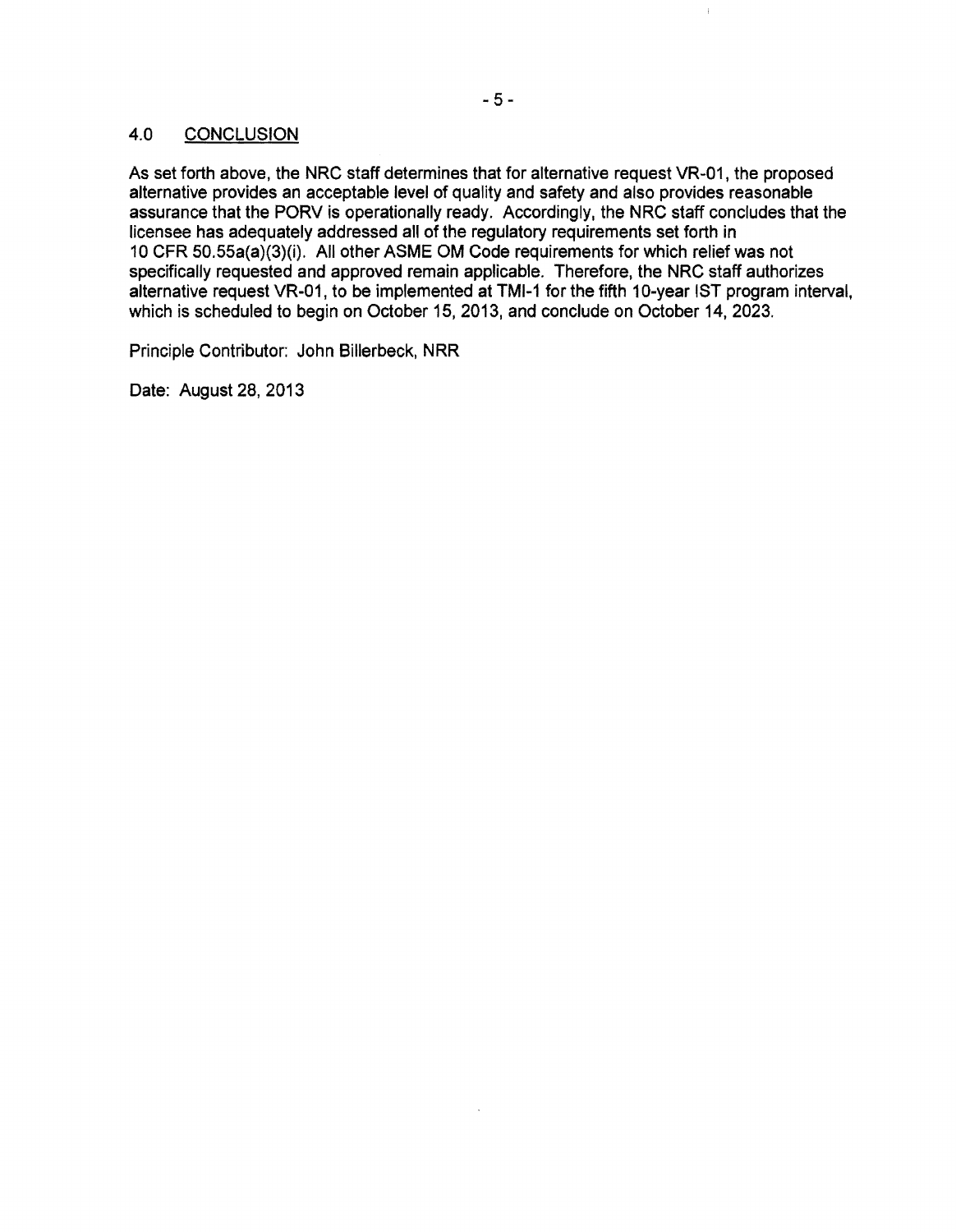#### 4.0 CONCLUSION

As set forth above, the NRC staff determines that for alternative request VR-01, the proposed alternative provides an acceptable level of quality and safety and also provides reasonable assurance that the PORV is operationally ready. Accordingly, the NRC staff concludes that the licensee has adequately addressed all of the regulatory requirements set forth in 10 CFR 50.55a(a)(3)(i). All other ASME OM Code requirements for which relief was not specifically requested and approved remain applicable. Therefore, the NRC staff authorizes alternative request VR-01, to be implemented at TMI-1 for the fifth 10-year 1ST program interval, which is scheduled to begin on October 15, 2013, and conclude on October 14, 2023.

Principle Contributor: John Billerbeck, NRR

Date: August 28, 2013

ť.